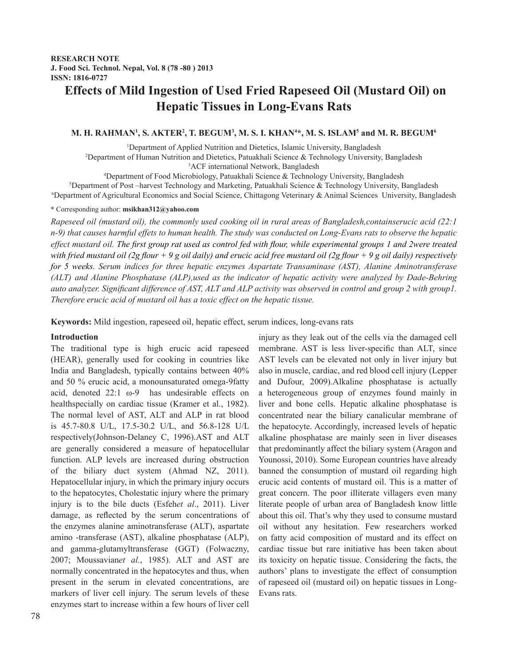# **Effects of Mild Ingestion of Used Fried Rapeseed Oil (Mustard Oil) on Hepatic Tissues in Long-Evans Rats**

## M. H. RAHMAN<sup>1</sup>, S. AKTER<sup>2</sup>, T. BEGUM<sup>3</sup>, M. S. I. KHAN<sup>4</sup>\*, M. S. ISLAM<sup>5</sup> and M. R. BEGUM<sup>6</sup>

<sup>1</sup>Department of Applied Nutrition and Dietetics, Islamic University, Bangladesh 2 Department of Human Nutrition and Dietetics, Patuakhali Science & Technology University, Bangladesh

3 ACF international Network, Bangladesh <sup>4</sup>Department of Food Microbiology, Patuakhali Science & Technology University, Bangladesh

<sup>5</sup>Department of Food Microbiology, Patuakhali Science & Technology University, Bangladesh<br><sup>5</sup>Department of Post –harvest Technology and Marketing, Patuakhali Science & Technology University, Bangladesh

6 Department of Agricultural Economics and Social Science, Chittagong Veterinary & Animal Sciences University, Bangladesh

## **\*** Corresponding author: **msikhan312@yahoo.com**

*Rapeseed oil (mustard oil), the commonly used cooking oil in rural areas of Bangladesh,containserucic acid (22:1 n-9) that causes harmful effets to human health. The study was conducted on Long-Evans rats to observe the hepatic effect mustard oil. The first group rat used as control fed with flour, while experimental groups 1 and 2were treated with fried mustard oil (2g flour + 9 g oil daily) and erucic acid free mustard oil (2g flour + 9 g oil daily) respectively for 5 weeks. Serum indices for three hepatic enzymes Aspartate Transaminase (AST), Alanine Aminotransferase (ALT) and Alanine Phosphatase (ALP),used as the indicator of hepatic activity were analyzed by Dade-Behring auto analyzer. Significant difference of AST, ALT and ALP activity was observed in control and group 2 with group1. Therefore erucic acid of mustard oil has a toxic effect on the hepatic tissue.*

**Keywords:** Mild ingestion, rapeseed oil, hepatic effect, serum indices, long-evans rats

## **Introduction**

The traditional type is high erucic acid rapeseed (HEAR), generally used for cooking in countries like India and Bangladesh, typically contains between 40% and 50 % erucic acid, a monounsaturated omega-9fatty acid, denoted 22:1 ω-9 has undesirable effects on healthspecially on cardiac tissue (Kramer et al., 1982). The normal level of AST, ALT and ALP in rat blood is 45.7-80.8 U/L, 17.5-30.2 U/L, and 56.8-128 U/L respectively(Johnson-Delaney C, 1996).AST and ALT are generally considered a measure of hepatocellular function. ALP levels are increased during obstruction of the biliary duct system (Ahmad NZ, 2011). Hepatocellular injury, in which the primary injury occurs to the hepatocytes, Cholestatic injury where the primary injury is to the bile ducts (Esfeh*et al*., 2011). Liver damage, as reflected by the serum concentrations of the enzymes alanine aminotransferase (ALT), aspartate amino -transferase (AST), alkaline phosphatase (ALP), and gamma-glutamyltransferase (GGT) (Folwaczny, 2007; Moussavian*et al.*, 1985). ALT and AST are normally concentrated in the hepatocytes and thus, when present in the serum in elevated concentrations, are markers of liver cell injury. The serum levels of these enzymes start to increase within a few hours of liver cell injury as they leak out of the cells via the damaged cell membrane. AST is less liver-specific than ALT, since AST levels can be elevated not only in liver injury but also in muscle, cardiac, and red blood cell injury (Lepper and Dufour, 2009).Alkaline phosphatase is actually a heterogeneous group of enzymes found mainly in liver and bone cells. Hepatic alkaline phosphatase is concentrated near the biliary canalicular membrane of the hepatocyte. Accordingly, increased levels of hepatic alkaline phosphatase are mainly seen in liver diseases that predominantly affect the biliary system (Aragon and Younossi, 2010). Some European countries have already banned the consumption of mustard oil regarding high erucic acid contents of mustard oil. This is a matter of great concern. The poor illiterate villagers even many literate people of urban area of Bangladesh know little about this oil. That's why they used to consume mustard oil without any hesitation. Few researchers worked on fatty acid composition of mustard and its effect on cardiac tissue but rare initiative has been taken about its toxicity on hepatic tissue. Considering the facts, the authors' plans to investigate the effect of consumption of rapeseed oil (mustard oil) on hepatic tissues in Long-Evans rats.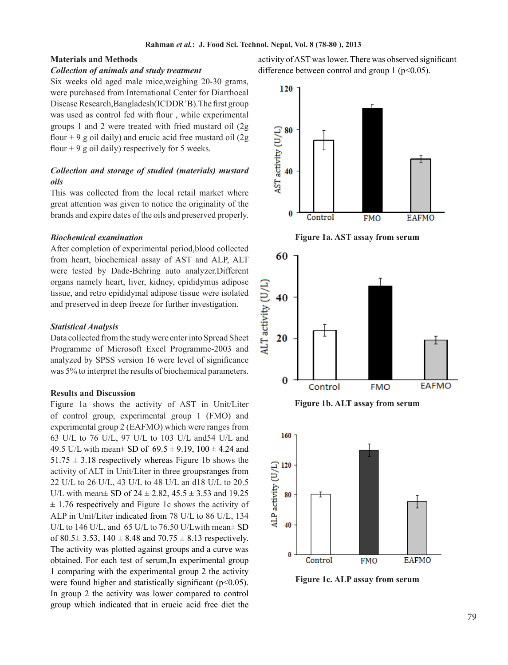## **Materials and Methods**

## *Collection of animals and study treatment*

Six weeks old aged male mice,weighing 20-30 grams, were purchased from International Center for Diarrhoeal Disease Research,Bangladesh(ICDDR'B).The first group was used as control fed with flour , while experimental groups 1 and 2 were treated with fried mustard oil (2g flour  $+9$  g oil daily) and erucic acid free mustard oil (2g) flour  $+9$  g oil daily) respectively for 5 weeks.

# *Collection and storage of studied (materials) mustard oils*

This was collected from the local retail market where great attention was given to notice the originality of the brands and expire dates of the oils and preserved properly.

## *Biochemical examination*

After completion of experimental period,blood collected from heart, biochemical assay of AST and ALP, ALT were tested by Dade-Behring auto analyzer.Different organs namely heart, liver, kidney, epididymus adipose tissue, and retro epididymal adipose tissue were isolated and preserved in deep freeze for further investigation.

## *Statistical Analysis*

Data collected from the study were enter into Spread Sheet Programme of Microsoft Excel Programme-2003 and analyzed by SPSS version 16 were level of significance was 5% to interpret the results of biochemical parameters.

### **Results and Discussion**

Figure 1a shows the activity of AST in Unit/Liter of control group, experimental group 1 (FMO) and experimental group 2 (EAFMO) which were ranges from 63 U/L to 76 U/L, 97 U/L to 103 U/L and54 U/L and 49.5 U/L with mean $\pm$  SD of 69.5  $\pm$  9.19, 100  $\pm$  4.24 and  $51.75 \pm 3.18$  respectively whereas Figure 1b shows the activity of ALT in Unit/Liter in three groupsranges from 22 U/L to 26 U/L, 43 U/L to 48 U/L an d18 U/L to 20.5 U/L with mean  $\pm$  SD of 24  $\pm$  2.82, 45.5  $\pm$  3.53 and 19.25  $\pm$  1.76 respectively and Figure 1c shows the activity of ALP in Unit/Liter indicated from 78 U/L to 86 U/L, 134 U/L to 146 U/L, and 65 U/L to 76.50 U/Lwith mean± SD of 80.5 $\pm$  3.53, 140  $\pm$  8.48 and 70.75  $\pm$  8.13 respectively. The activity was plotted against groups and a curve was obtained. For each test of serum,In experimental group 1 comparing with the experimental group 2 the activity were found higher and statistically significant  $(p<0.05)$ . In group 2 the activity was lower compared to control group which indicated that in erucic acid free diet the

activity of AST was lower. There was observed significant difference between control and group  $1$  ( $p<0.05$ ).



**Figure 1a. AST assay from serum**



**Figure 1b. ALT assay from serum**



**Figure 1c. ALP assay from serum**